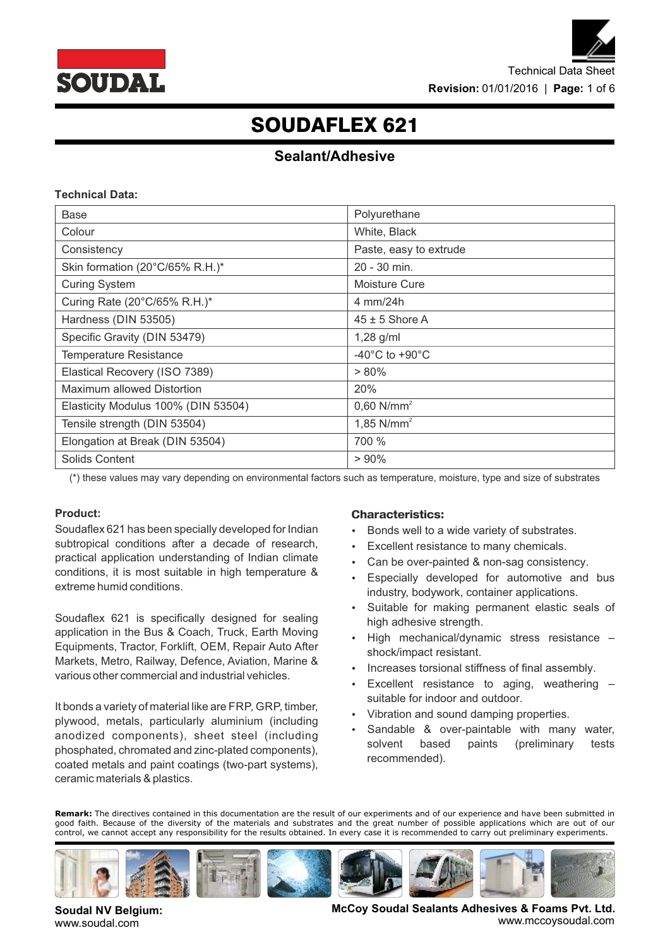

### **Sealant/Adhesive**

### **Technical Data:**

| Base                                | Polyurethane                       |  |
|-------------------------------------|------------------------------------|--|
| Colour                              | White, Black                       |  |
| Consistency                         | Paste, easy to extrude             |  |
| Skin formation (20°C/65% R.H.)*     | 20 - 30 min.                       |  |
| <b>Curing System</b>                | Moisture Cure                      |  |
| Curing Rate (20°C/65% R.H.)*        | 4 mm/24h                           |  |
| Hardness (DIN 53505)                | $45 \pm 5$ Shore A                 |  |
| Specific Gravity (DIN 53479)        | $1,28$ g/ml                        |  |
| <b>Temperature Resistance</b>       | $-40^{\circ}$ C to $+90^{\circ}$ C |  |
| Elastical Recovery (ISO 7389)       | $> 80\%$                           |  |
| Maximum allowed Distortion          | 20%                                |  |
| Elasticity Modulus 100% (DIN 53504) | $0,60$ N/mm <sup>2</sup>           |  |
| Tensile strength (DIN 53504)        | 1,85 $N/mm^2$                      |  |
| Elongation at Break (DIN 53504)     | 700 %                              |  |
| Solids Content                      | $> 90\%$                           |  |

(\*) these values may vary depending on environmental factors such as temperature, moisture, type and size of substrates

### **Product:**

Soudaflex 621 has been specially developed for Indian subtropical conditions after a decade of research, practical application understanding of Indian climate conditions, it is most suitable in high temperature & extreme humid conditions.

Soudaflex 621 is specifically designed for sealing application in the Bus & Coach, Truck, Earth Moving Equipments, Tractor, Forklift, OEM, Repair Auto After Markets, Metro, Railway, Defence, Aviation, Marine & various other commercial and industrial vehicles.

It bonds a variety of material like are FRP, GRP, timber, plywood, metals, particularly aluminium (including anodized components), sheet steel (including phosphated, chromated and zinc-plated components), coated metals and paint coatings (two-part systems), ceramic materials & plastics.

### **Characteristics:**

- Bonds well to a wide variety of substrates.
- Excellent resistance to many chemicals.
- Can be over-painted & non-sag consistency.
- Especially developed for automotive and bus industry, bodywork, container applications.
- Suitable for making permanent elastic seals of high adhesive strength.
- High mechanical/dynamic stress resistance shock/impact resistant.
- Increases torsional stiffness of final assembly.
- Excellent resistance to aging, weathering suitable for indoor and outdoor.
- Vibration and sound damping properties.
- Sandable & over-paintable with many water, solvent based paints (preliminary tests recommended).

**Remark:** The directives contained in this documentation are the result of our experiments and of our experience and have been submitted in good faith. Because of the diversity of the materials and substrates and the great number of possible applications which are out of our control, we cannot accept any responsibility for the results obtained. In every case it is recommended to carry out preliminary experiments.



**Soudal NV Belgium:** www.soudal.com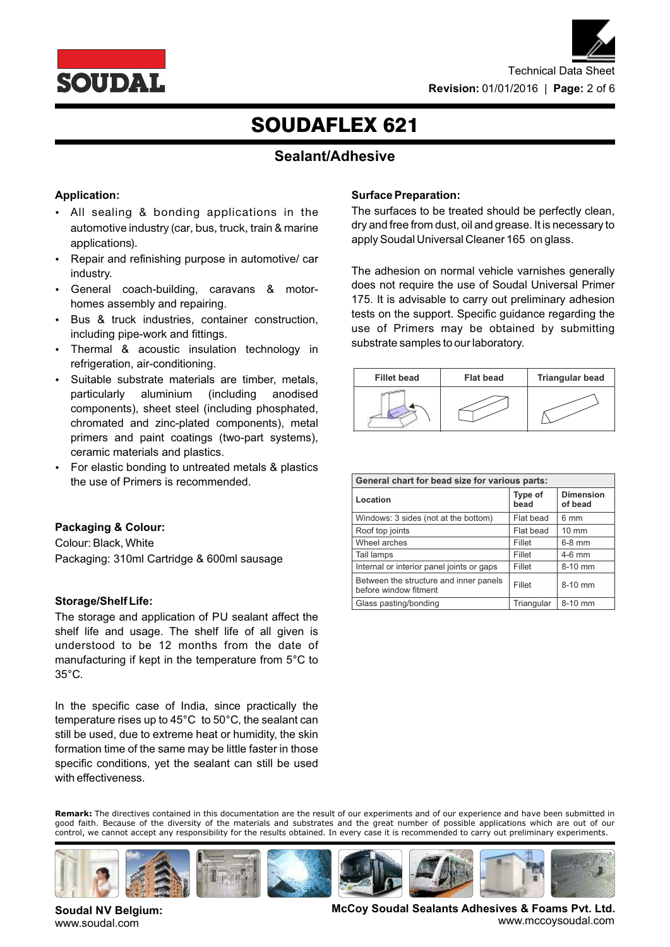



### **Sealant/Adhesive**

### **Application:**

- All sealing & bonding applications in the automotive industry (car, bus, truck, train & marine applications).
- Repair and refinishing purpose in automotive/ car industry.
- General coach-building, caravans & motorhomes assembly and repairing.
- Bus & truck industries, container construction, including pipe-work and fittings.
- Thermal & acoustic insulation technology in refrigeration, air-conditioning.
- Suitable substrate materials are timber, metals, particularly aluminium (including anodised components), sheet steel (including phosphated, chromated and zinc-plated components), metal primers and paint coatings (two-part systems), ceramic materials and plastics.
- For elastic bonding to untreated metals & plastics the use of Primers is recommended.

### **Packaging & Colour:**

Colour: Black, White Packaging: 310ml Cartridge & 600ml sausage

### **Storage/Shelf Life:**

The storage and application of PU sealant affect the shelf life and usage. The shelf life of all given is understood to be 12 months from the date of manufacturing if kept in the temperature from 5°C to 35°C.

In the specific case of India, since practically the temperature rises up to 45°C to 50°C, the sealant can still be used, due to extreme heat or humidity, the skin formation time of the same may be little faster in those specific conditions, yet the sealant can still be used with effectiveness.

### **Surface Preparation:**

The surfaces to be treated should be perfectly clean, dry and free from dust, oil and grease. It is necessary to apply Soudal Universal Cleaner 165 on glass.

The adhesion on normal vehicle varnishes generally does not require the use of Soudal Universal Primer 175. It is advisable to carry out preliminary adhesion tests on the support. Specific guidance regarding the use of Primers may be obtained by submitting substrate samples to our laboratory.



| General chart for bead size for various parts:                  |                 |                             |  |
|-----------------------------------------------------------------|-----------------|-----------------------------|--|
| Location                                                        | Type of<br>bead | <b>Dimension</b><br>of bead |  |
| Windows: 3 sides (not at the bottom)                            | Flat bead       | 6 mm                        |  |
| Roof top joints                                                 | Flat bead       | $10 \text{ mm}$             |  |
| Wheel arches                                                    | Fillet          | $6-8$ mm                    |  |
| Tail lamps                                                      | Fillet          | $4-6$ mm                    |  |
| Internal or interior panel joints or gaps                       | Fillet          | 8-10 mm                     |  |
| Between the structure and inner panels<br>before window fitment | Fillet          | 8-10 mm                     |  |
| Glass pasting/bonding                                           | Triangular      | 8-10 mm                     |  |

**Remark:** The directives contained in this documentation are the result of our experiments and of our experience and have been submitted in good faith. Because of the diversity of the materials and substrates and the great number of possible applications which are out of our control, we cannot accept any responsibility for the results obtained. In every case it is recommended to carry out preliminary experiments.



**Soudal NV Belgium:** www.soudal.com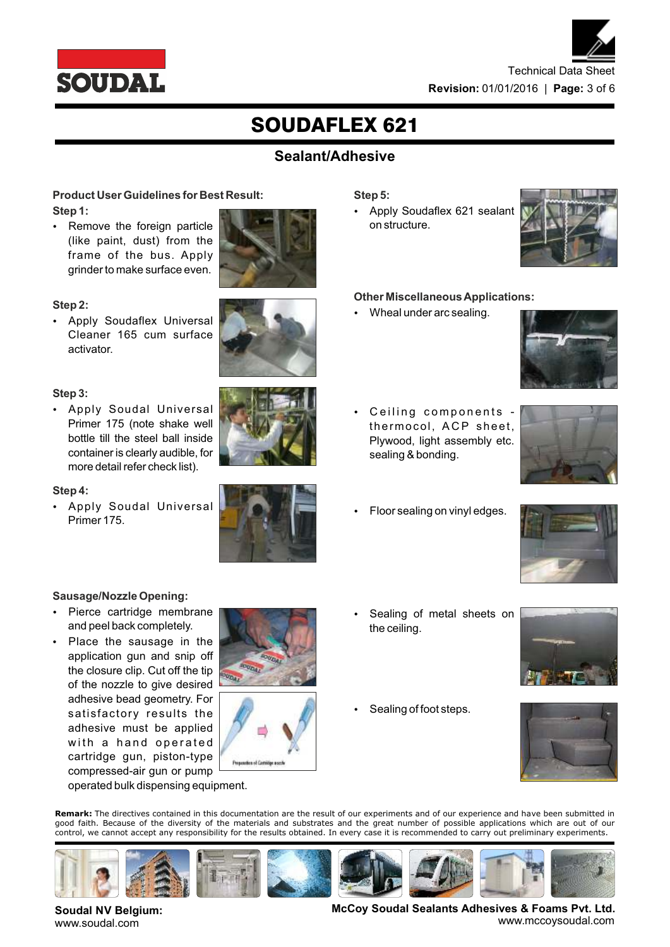

# Technical Data Sheet **Revision:** 01/01/2016 | **Page:** 3 of 6

# SOUDAFLEX 621

### **Sealant/Adhesive**

### **Product User Guidelines for Best Result: Step 1:**

 Remove the foreign particle (like paint, dust) from the frame of the bus. Apply grinder to make surface even.



### **Step 2:**

 Apply Soudaflex Universal Cleaner 165 cum surface activator.

### **Step 3:**

 Apply Soudal Universal Primer 175 (note shake well bottle till the steel ball inside container is clearly audible, for more detail refer check list).



### **Step 4:**

 Apply Soudal Universal Primer 175.



### **Sausage/Nozzle Opening:**

- Pierce cartridge membrane and peel back completely.
- Place the sausage in the application gun and snip off the closure clip. Cut off the tip of the nozzle to give desired adhesive bead geometry. For satisfactory results the adhesive must be applied with a hand operated cartridge gun, piston-type compressed-air gun or pump





operated bulk dispensing equipment.

- **Step 5:**
- Apply Soudaflex 621 sealant on structure.



### **Other Miscellaneous Applications:**

Wheal under arc sealing.



- Ceiling components thermocol, ACP sheet, Plywood, light assembly etc. sealing & bonding.
	- Floor sealing on vinyl edges.



 Sealing of metal sheets on the ceiling.



Sealing of foot steps.



**Remark:** The directives contained in this documentation are the result of our experiments and of our experience and have been submitted in good faith. Because of the diversity of the materials and substrates and the great number of possible applications which are out of our control, we cannot accept any responsibility for the results obtained. In every case it is recommended to carry out preliminary experiments.



**Soudal NV Belgium:** www.soudal.com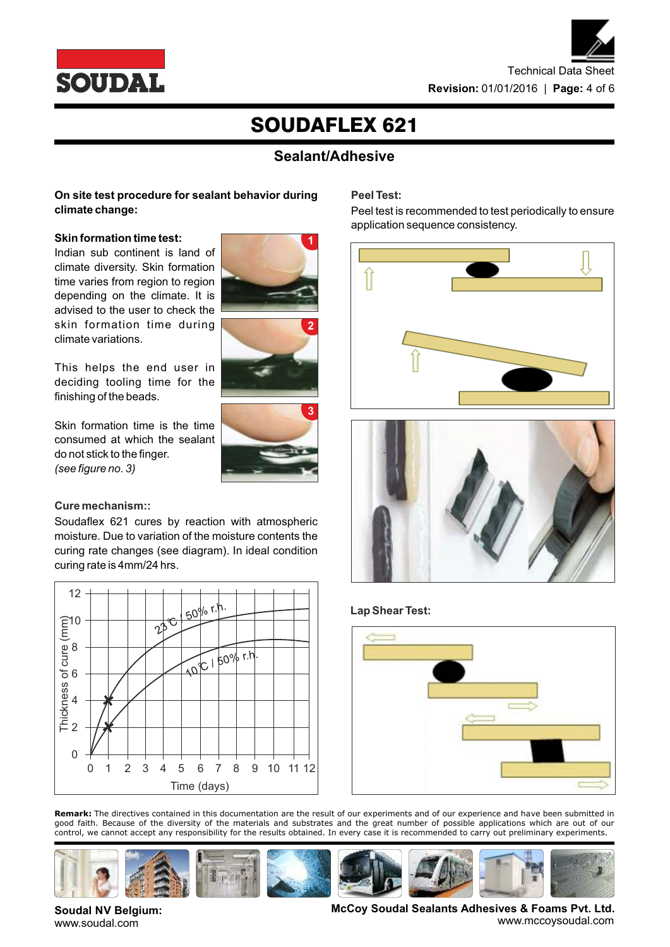

### **Sealant/Adhesive**

**Peel Test:** 

**1**

**2**

### **On site test procedure for sealant behavior during climate change:**

### **Skin formation time test:**

Indian sub continent is land of climate diversity. Skin formation time varies from region to region depending on the climate. It is advised to the user to check the skin formation time during climate variations.

This helps the end user in deciding tooling time for the finishing of the beads.

Skin formation time is the time consumed at which the sealant do not stick to the finger. *(see figure no. 3)* 

# **3**

### **Cure mechanism::**

**Soudal NV Belgium:** www.soudal.com

Soudaflex 621 cures by reaction with atmospheric moisture. Due to variation of the moisture contents the curing rate changes (see diagram). In ideal condition curing rate is 4mm/24 hrs.



**Remark:** The directives contained in this documentation are the result of our experiments and of our experience and have been submitted in good faith. Because of the diversity of the materials and substrates and the great number of possible applications which are out of our control, we cannot accept any responsibility for the results obtained. In every case it is recommended to carry out preliminary experiments.











www.mccoysoudal.com



Peel test is recommended to test periodically to ensure

application sequence consistency.

### **Lap Shear Test:**



**McCoy Soudal Sealants Adhesives & Foams Pvt. Ltd.**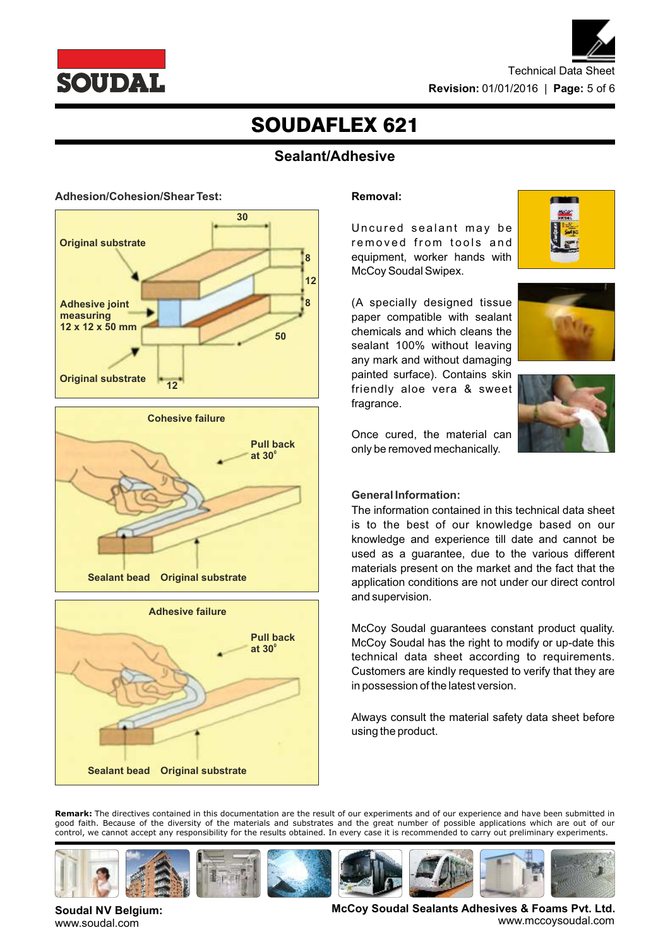



### **Sealant/Adhesive**









### **Removal:**

Uncured sealant may be removed from tools and equipment, worker hands with McCoy Soudal Swipex.







Once cured, the material can only be removed mechanically.

### **General Information:**

The information contained in this technical data sheet is to the best of our knowledge based on our knowledge and experience till date and cannot be used as a guarantee, due to the various different materials present on the market and the fact that the application conditions are not under our direct control and supervision.

McCoy Soudal guarantees constant product quality. McCoy Soudal has the right to modify or up-date this technical data sheet according to requirements. Customers are kindly requested to verify that they are in possession of the latest version.

Always consult the material safety data sheet before using the product.

**Remark:** The directives contained in this documentation are the result of our experiments and of our experience and have been submitted in good faith. Because of the diversity of the materials and substrates and the great number of possible applications which are out of our control, we cannot accept any responsibility for the results obtained. In every case it is recommended to carry out preliminary experiments.



**Soudal NV Belgium:** www.soudal.com